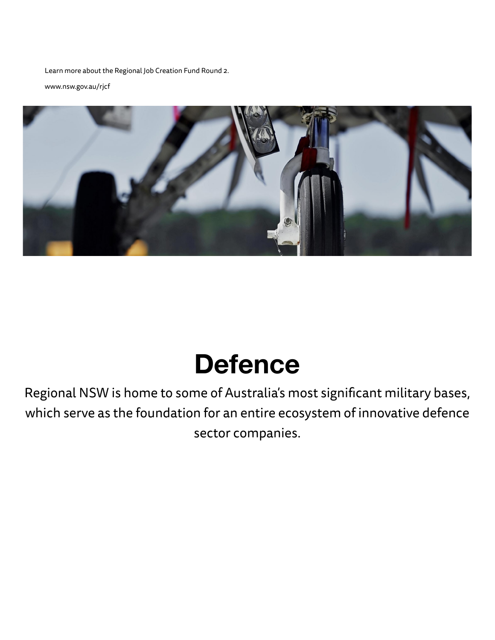Learn more about the Regional Job Creation Fund Round 2.

[www.nsw.gov.au/rjcf](https://www.nsw.gov.au/regional-growth-fund/regional-job-creation-fund)



# **Defence**

Regional NSW is home to some of Australia's most significant military bases, which serve as the foundation for an entire ecosystem of innovative defence sector companies.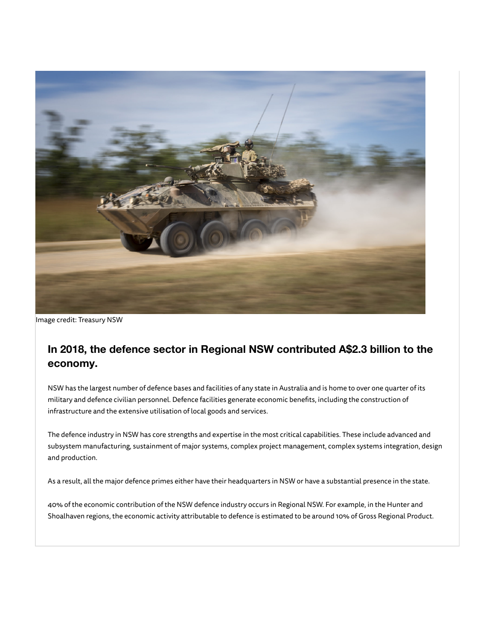

Image credit: Treasury NSW

## **In 2018, the defence sector in Regional NSW contributed A\$2.3 billion to the economy.**

NSW has the largest number of defence bases and facilities of any state in Australia and is home to over one quarter of its military and defence civilian personnel. Defence facilities generate economic benefits, including the construction of infrastructure and the extensive utilisation of local goods and services.

The defence industry in NSW has core strengths and expertise in the most critical capabilities. These include advanced and subsystem manufacturing, sustainment of major systems, complex project management, complex systems integration, design and production.

As a result, all the major defence primes either have their headquarters in NSW or have a substantial presence in the state.

40% of the economic contribution of the NSW defence industry occurs in Regional NSW. For example, in the Hunter and Shoalhaven regions, the economic activity attributable to defence is estimated to be around 10% of Gross Regional Product.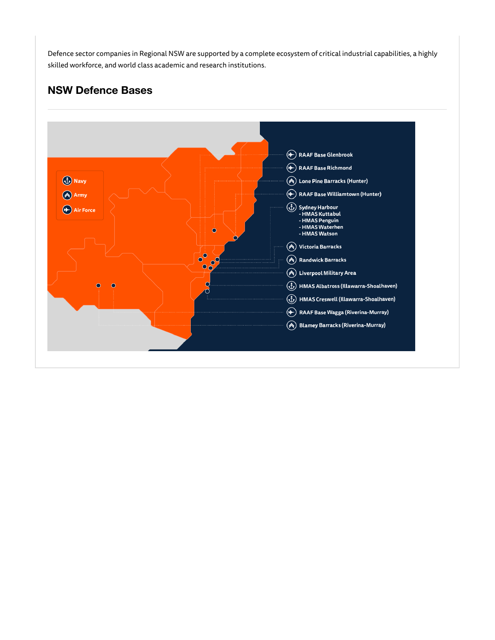Defence sector companies in Regional NSW are supported by a complete ecosystem of critical industrial capabilities, a highly skilled workforce, and world class academic and research institutions.

### **NSW Defence Bases**

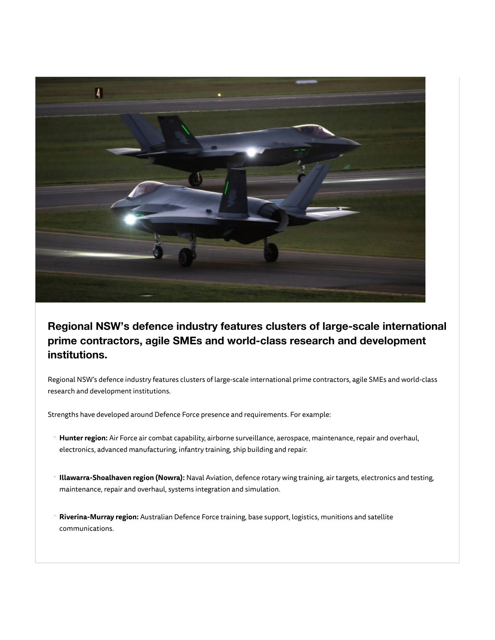

**Regional NSW's defence industry features clusters of large-scale international prime contractors, agile SMEs and world-class research and development institutions.**

Regional NSW's defence industry features clusters of large-scale international prime contractors, agile SMEs and world-class research and development institutions.

Strengths have developed around Defence Force presence and requirements. For example:

- **Hunter region:** Air Force air combat capability, airborne surveillance, aerospace, maintenance, repair and overhaul, electronics, advanced manufacturing, infantry training, ship building and repair. ·
- **Illawarra-Shoalhaven region (Nowra):** Naval Aviation, defence rotary wing training, air targets, electronics and testing, maintenance, repair and overhaul, systems integration and simulation. ·
- **Riverina-Murray region:** Australian Defence Force training, base support, logistics, munitions and satellite communications. ·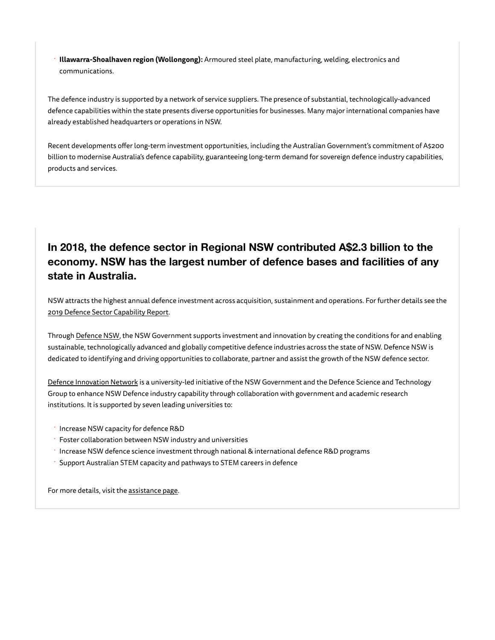**Illawarra-Shoalhaven region (Wollongong):** Armoured steel plate, manufacturing, welding, electronics and communications. ·

The defence industry is supported by a network of service suppliers. The presence of substantial, technologically-advanced defence capabilities within the state presents diverse opportunities for businesses. Many major international companies have already established headquarters or operations in NSW.

Recent developments offer long-term investment opportunities, including the Australian Government's commitment of A\$200 billion to modernise Australia's defence capability, guaranteeing long-term demand for sovereign defence industry capabilities, products and services.

## **In 2018, the defence sector in Regional NSW contributed A\$2.3 billion to the economy. NSW has the largest number of defence bases and facilities of any state in Australia.**

NSW attracts the highest annual defence investment across acquisition, sustainment and operations. For further details see the [2019 Defence Sector Capability Report](https://www.investregional.nsw.gov.au/assets/Uploads/NSW-Defence-sector-capability-report.pdf).

Through [Defence NSW,](http://defence.nsw.gov.au/) the NSW Government supports investment and innovation by creating the conditions for and enabling sustainable, technologically advanced and globally competitive defence industries across the state of NSW. Defence NSW is dedicated to identifying and driving opportunities to collaborate, partner and assist the growth of the NSW defence sector.

[Defence Innovation Network](https://defenceinnovationnetwork.com/) is a university-led initiative of the NSW Government and the Defence Science and Technology Group to enhance NSW Defence industry capability through collaboration with government and academic research institutions. It is supported by seven leading universities to:

- · Increase NSW capacity for defence R&D
- Foster collaboration between NSW industry and universities
- · Increase NSW defence science investment through national & international defence R&D programs
- Support Australian STEM capacity and pathways to STEM careers in defence

For more details, visit the [assistance page.](https://www.investregional.nsw.gov.au/contact/contacts-details-and-assistance/)